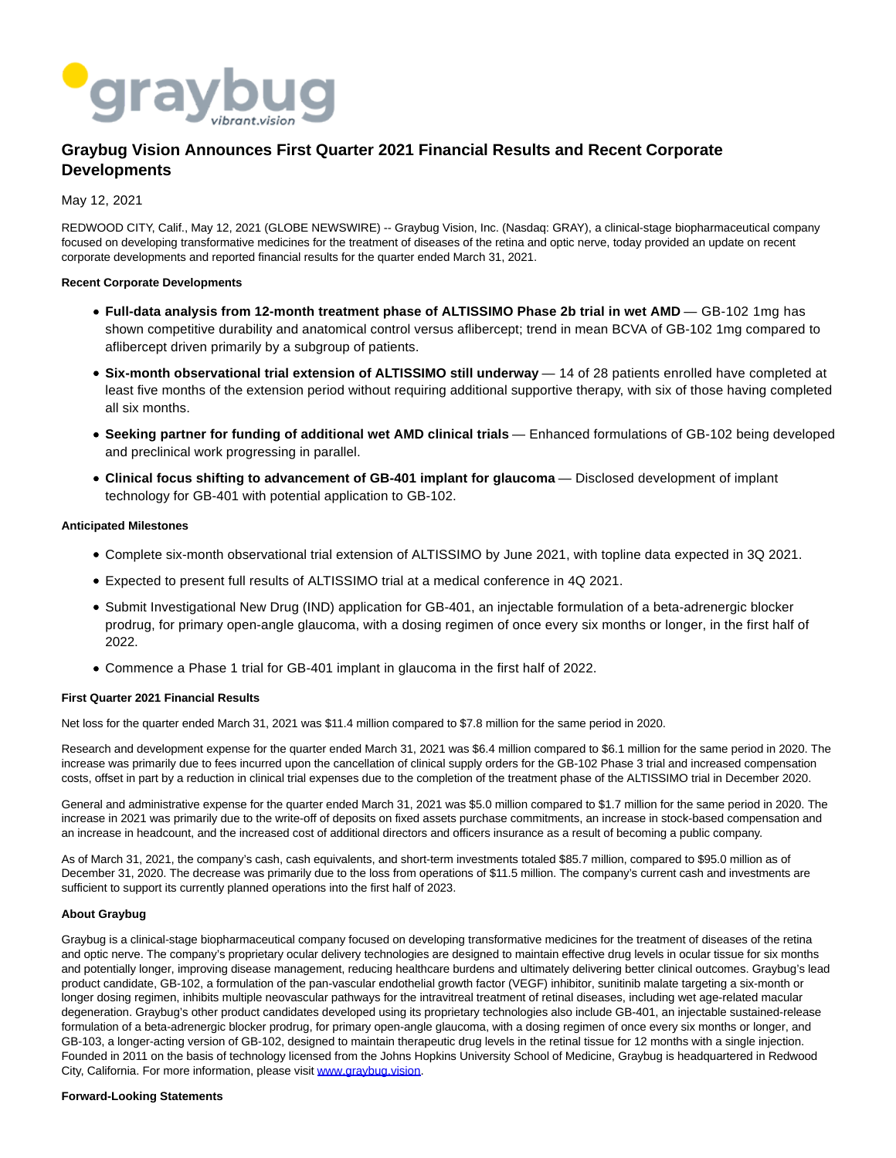

# **Graybug Vision Announces First Quarter 2021 Financial Results and Recent Corporate Developments**

May 12, 2021

REDWOOD CITY, Calif., May 12, 2021 (GLOBE NEWSWIRE) -- Graybug Vision, Inc. (Nasdaq: GRAY), a clinical-stage biopharmaceutical company focused on developing transformative medicines for the treatment of diseases of the retina and optic nerve, today provided an update on recent corporate developments and reported financial results for the quarter ended March 31, 2021.

# **Recent Corporate Developments**

- **Full-data analysis from 12-month treatment phase of ALTISSIMO Phase 2b trial in wet AMD** GB-102 1mg has shown competitive durability and anatomical control versus aflibercept; trend in mean BCVA of GB-102 1mg compared to aflibercept driven primarily by a subgroup of patients.
- **Six-month observational trial extension of ALTISSIMO still underway** 14 of 28 patients enrolled have completed at least five months of the extension period without requiring additional supportive therapy, with six of those having completed all six months.
- **Seeking partner for funding of additional wet AMD clinical trials** Enhanced formulations of GB-102 being developed and preclinical work progressing in parallel.
- **Clinical focus shifting to advancement of GB-401 implant for glaucoma** Disclosed development of implant technology for GB-401 with potential application to GB-102.

### **Anticipated Milestones**

- Complete six-month observational trial extension of ALTISSIMO by June 2021, with topline data expected in 3Q 2021.
- Expected to present full results of ALTISSIMO trial at a medical conference in 4Q 2021.
- Submit Investigational New Drug (IND) application for GB-401, an injectable formulation of a beta-adrenergic blocker prodrug, for primary open-angle glaucoma, with a dosing regimen of once every six months or longer, in the first half of 2022.
- Commence a Phase 1 trial for GB-401 implant in glaucoma in the first half of 2022.

# **First Quarter 2021 Financial Results**

Net loss for the quarter ended March 31, 2021 was \$11.4 million compared to \$7.8 million for the same period in 2020.

Research and development expense for the quarter ended March 31, 2021 was \$6.4 million compared to \$6.1 million for the same period in 2020. The increase was primarily due to fees incurred upon the cancellation of clinical supply orders for the GB-102 Phase 3 trial and increased compensation costs, offset in part by a reduction in clinical trial expenses due to the completion of the treatment phase of the ALTISSIMO trial in December 2020.

General and administrative expense for the quarter ended March 31, 2021 was \$5.0 million compared to \$1.7 million for the same period in 2020. The increase in 2021 was primarily due to the write-off of deposits on fixed assets purchase commitments, an increase in stock-based compensation and an increase in headcount, and the increased cost of additional directors and officers insurance as a result of becoming a public company.

As of March 31, 2021, the company's cash, cash equivalents, and short-term investments totaled \$85.7 million, compared to \$95.0 million as of December 31, 2020. The decrease was primarily due to the loss from operations of \$11.5 million. The company's current cash and investments are sufficient to support its currently planned operations into the first half of 2023.

# **About Graybug**

Graybug is a clinical-stage biopharmaceutical company focused on developing transformative medicines for the treatment of diseases of the retina and optic nerve. The company's proprietary ocular delivery technologies are designed to maintain effective drug levels in ocular tissue for six months and potentially longer, improving disease management, reducing healthcare burdens and ultimately delivering better clinical outcomes. Graybug's lead product candidate, GB-102, a formulation of the pan-vascular endothelial growth factor (VEGF) inhibitor, sunitinib malate targeting a six-month or longer dosing regimen, inhibits multiple neovascular pathways for the intravitreal treatment of retinal diseases, including wet age-related macular degeneration. Graybug's other product candidates developed using its proprietary technologies also include GB-401, an injectable sustained-release formulation of a beta-adrenergic blocker prodrug, for primary open-angle glaucoma, with a dosing regimen of once every six months or longer, and GB-103, a longer-acting version of GB-102, designed to maintain therapeutic drug levels in the retinal tissue for 12 months with a single injection. Founded in 2011 on the basis of technology licensed from the Johns Hopkins University School of Medicine, Graybug is headquartered in Redwood City, California. For more information, please visit [www.graybug.vision.](https://www.globenewswire.com/Tracker?data=08EjEK5-dDy3SZZvLBd-Wf5LetK2-VEhJdPYpdYqn67NzA4t2is2V-8jqF0D7PPgdnJdwyMiHry1ALsE2s8a6LgAsOGLMnnAlX89HjRo3hU=)

#### **Forward-Looking Statements**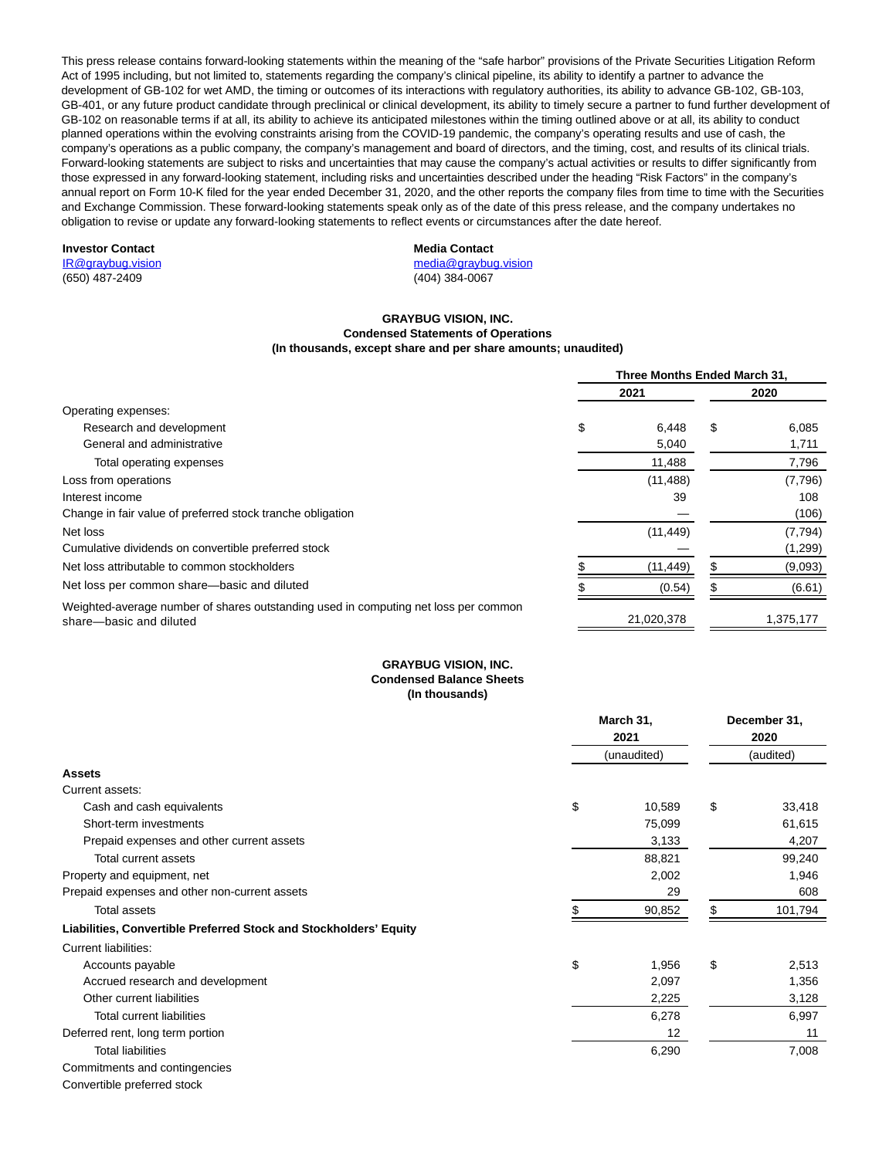This press release contains forward-looking statements within the meaning of the "safe harbor" provisions of the Private Securities Litigation Reform Act of 1995 including, but not limited to, statements regarding the company's clinical pipeline, its ability to identify a partner to advance the development of GB-102 for wet AMD, the timing or outcomes of its interactions with regulatory authorities, its ability to advance GB-102, GB-103, GB-401, or any future product candidate through preclinical or clinical development, its ability to timely secure a partner to fund further development of GB-102 on reasonable terms if at all, its ability to achieve its anticipated milestones within the timing outlined above or at all, its ability to conduct planned operations within the evolving constraints arising from the COVID-19 pandemic, the company's operating results and use of cash, the company's operations as a public company, the company's management and board of directors, and the timing, cost, and results of its clinical trials. Forward-looking statements are subject to risks and uncertainties that may cause the company's actual activities or results to differ significantly from those expressed in any forward-looking statement, including risks and uncertainties described under the heading "Risk Factors" in the company's annual report on Form 10-K filed for the year ended December 31, 2020, and the other reports the company files from time to time with the Securities and Exchange Commission. These forward-looking statements speak only as of the date of this press release, and the company undertakes no obligation to revise or update any forward-looking statements to reflect events or circumstances after the date hereof.

# **Investor Contact**

[IR@graybug.vision](mailto:IR@graybug.vision) (650) 487-2409

# **Media Contact**

[media@graybug.vision](mailto:media@graybug.vision) (404) 384-0067

#### **GRAYBUG VISION, INC. Condensed Statements of Operations (In thousands, except share and per share amounts; unaudited)**

|                                                                                                                | Three Months Ended March 31, |            |    |           |  |
|----------------------------------------------------------------------------------------------------------------|------------------------------|------------|----|-----------|--|
|                                                                                                                |                              | 2021       |    | 2020      |  |
| Operating expenses:                                                                                            |                              |            |    |           |  |
| Research and development                                                                                       | \$                           | 6.448      | \$ | 6,085     |  |
| General and administrative                                                                                     |                              | 5,040      |    | 1,711     |  |
| Total operating expenses                                                                                       |                              | 11,488     |    | 7,796     |  |
| Loss from operations                                                                                           |                              | (11, 488)  |    | (7,796)   |  |
| Interest income                                                                                                |                              | 39         |    | 108       |  |
| Change in fair value of preferred stock tranche obligation                                                     |                              |            |    | (106)     |  |
| Net loss                                                                                                       |                              | (11, 449)  |    | (7, 794)  |  |
| Cumulative dividends on convertible preferred stock                                                            |                              |            |    | (1,299)   |  |
| Net loss attributable to common stockholders                                                                   |                              | (11, 449)  |    | (9,093)   |  |
| Net loss per common share—basic and diluted                                                                    |                              | (0.54)     |    | (6.61)    |  |
| Weighted-average number of shares outstanding used in computing net loss per common<br>share-basic and diluted |                              | 21,020,378 |    | 1,375,177 |  |

# **GRAYBUG VISION, INC. Condensed Balance Sheets (In thousands)**

| March 31,                                                         |                     | December 31, |                   |         |
|-------------------------------------------------------------------|---------------------|--------------|-------------------|---------|
|                                                                   | 2021<br>(unaudited) |              | 2020<br>(audited) |         |
|                                                                   |                     |              |                   |         |
| <b>Assets</b>                                                     |                     |              |                   |         |
| Current assets:                                                   |                     |              |                   |         |
| Cash and cash equivalents                                         | \$                  | 10,589       | \$                | 33,418  |
| Short-term investments                                            |                     | 75,099       |                   | 61,615  |
| Prepaid expenses and other current assets                         |                     | 3,133        |                   | 4,207   |
| Total current assets                                              |                     | 88,821       |                   | 99,240  |
| Property and equipment, net                                       |                     | 2,002        |                   | 1,946   |
| Prepaid expenses and other non-current assets                     |                     | 29           |                   | 608     |
| <b>Total assets</b>                                               |                     | 90,852       |                   | 101,794 |
| Liabilities, Convertible Preferred Stock and Stockholders' Equity |                     |              |                   |         |
| Current liabilities:                                              |                     |              |                   |         |
| Accounts payable                                                  | \$                  | 1,956        | \$                | 2,513   |
| Accrued research and development                                  |                     | 2,097        |                   | 1,356   |
| Other current liabilities                                         |                     | 2,225        |                   | 3,128   |
| <b>Total current liabilities</b>                                  |                     | 6,278        |                   | 6,997   |
| Deferred rent, long term portion                                  |                     | 12           |                   | 11      |
| <b>Total liabilities</b>                                          |                     | 6,290        |                   | 7,008   |
| Commitments and contingencies                                     |                     |              |                   |         |
|                                                                   |                     |              |                   |         |

Convertible preferred stock